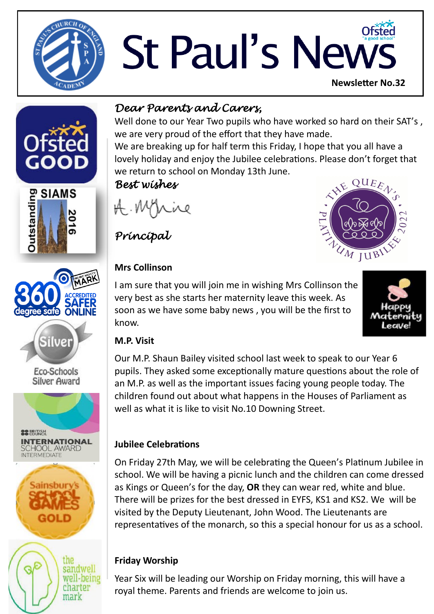

# St Paul's News **Newsletter No.32**









Eco-Schools **Silver Award** 







### *Dear Parents and Carers,*

Well done to our Year Two pupils who have worked so hard on their SAT's, we are very proud of the effort that they have made.

We are breaking up for half term this Friday, I hope that you all have a lovely holiday and enjoy the Jubilee celebrations. Please don't forget that we return to school on Monday 13th June.

#### *Best wishes*

*Principal* 

#### **Mrs Collinson**

I am sure that you will join me in wishing Mrs Collinson the very best as she starts her maternity leave this week. As soon as we have some baby news , you will be the first to know.





#### **M.P. Visit**

Our M.P. Shaun Bailey visited school last week to speak to our Year 6 pupils. They asked some exceptionally mature questions about the role of an M.P. as well as the important issues facing young people today. The children found out about what happens in the Houses of Parliament as well as what it is like to visit No.10 Downing Street.

#### **Jubilee Celebrations**

On Friday 27th May, we will be celebrating the Queen's Platinum Jubilee in school. We will be having a picnic lunch and the children can come dressed as Kings or Queen's for the day, **OR** they can wear red, white and blue. There will be prizes for the best dressed in EYFS, KS1 and KS2. We will be visited by the Deputy Lieutenant, John Wood. The Lieutenants are representatives of the monarch, so this a special honour for us as a school.

#### **Friday Worship**

Year Six will be leading our Worship on Friday morning, this will have a royal theme. Parents and friends are welcome to join us.